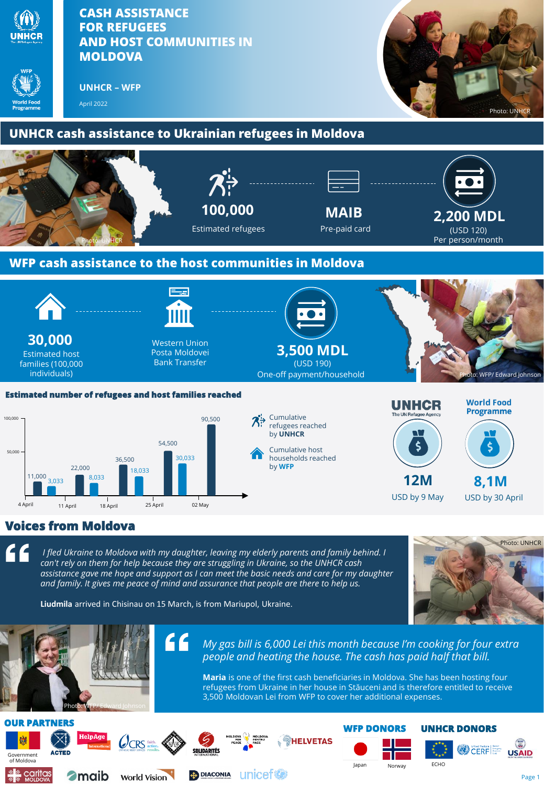



**World Vision** 

Caritas

**2** maib

**4** DIACONIA UNICEF







Page 1